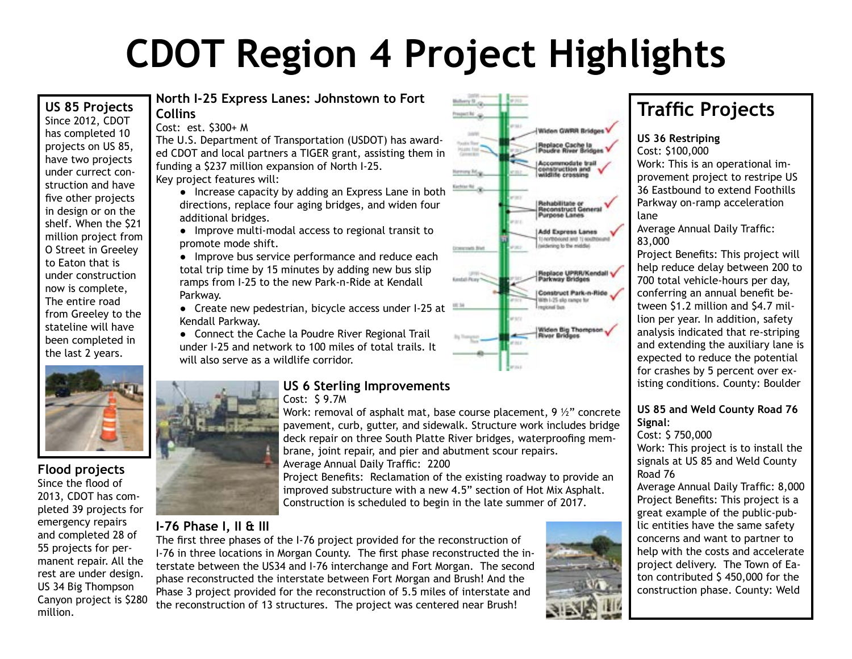# **CDOT Region 4 Project Highlights**

#### **US 85 Projects** Since 2012, CDOT has completed 10 projects on US 85, have two projects under currect construction and have five other projects in design or on the shelf. When the \$21 million project from O Street in Greeley to Eaton that is under construction now is complete, The entire road from Greeley to the stateline will have been completed in the last 2 years.



#### **Flood projects** Since the flood of 2013, CDOT has completed 39 projects for emergency repairs and completed 28 of 55 projects for permanent repair. All the rest are under design. US 34 Big Thompson Canyon project is \$280 million.

#### **North I-25 Express Lanes: Johnstown to Fort Collins**

Cost: est. \$300+ M

The U.S. Department of Transportation (USDOT) has awarded CDOT and local partners a TIGER grant, assisting them in funding a \$237 million expansion of North I-25. Key project features will:

● Increase capacity by adding an Express Lane in both directions, replace four aging bridges, and widen four additional bridges.

● Improve multi-modal access to regional transit to promote mode shift.

• Improve bus service performance and reduce each total trip time by 15 minutes by adding new bus slip ramps from I-25 to the new Park-n-Ride at Kendall Parkway.

● Create new pedestrian, bicycle access under I-25 at Kendall Parkway.

• Connect the Cache la Poudre River Regional Trail under I-25 and network to 100 miles of total trails. It will also serve as a wildlife corridor.



### **US 6 Sterling Improvements**

Cost: \$ 9.7M

Work: removal of asphalt mat, base course placement,  $9\frac{1}{2}$ " concrete pavement, curb, gutter, and sidewalk. Structure work includes bridge deck repair on three South Platte River bridges, waterproofing membrane, joint repair, and pier and abutment scour repairs. Average Annual Daily Traffic: 2200

Project Benefits: Reclamation of the existing roadway to provide an improved substructure with a new 4.5" section of Hot Mix Asphalt. Construction is scheduled to begin in the late summer of 2017.

### **I-76 Phase I, II & III**

The first three phases of the I-76 project provided for the reconstruction of I-76 in three locations in Morgan County. The first phase reconstructed the interstate between the US34 and I-76 interchange and Fort Morgan. The second phase reconstructed the interstate between Fort Morgan and Brush! And the Phase 3 project provided for the reconstruction of 5.5 miles of interstate and the reconstruction of 13 structures. The project was centered near Brush!



# **Traffic Projects**

**US 36 Restriping**

Cost: \$100,000 Work: This is an operational improvement project to restripe US 36 Eastbound to extend Foothills Parkway on-ramp acceleration lane

Average Annual Daily Traffic: 83,000

Project Benefits: This project will help reduce delay between 200 to 700 total vehicle-hours per day, conferring an annual benefit between \$1.2 million and \$4.7 million per year. In addition, safety analysis indicated that re-striping and extending the auxiliary lane is expected to reduce the potential for crashes by 5 percent over existing conditions. County: Boulder

#### **US 85 and Weld County Road 76 Signal**:

Cost: \$ 750,000 Work: This project is to install the signals at US 85 and Weld County Road 76

Average Annual Daily Traffic: 8,000 Project Benefits: This project is a great example of the public-public entities have the same safety concerns and want to partner to help with the costs and accelerate project delivery. The Town of Eaton contributed \$ 450,000 for the construction phase. County: Weld